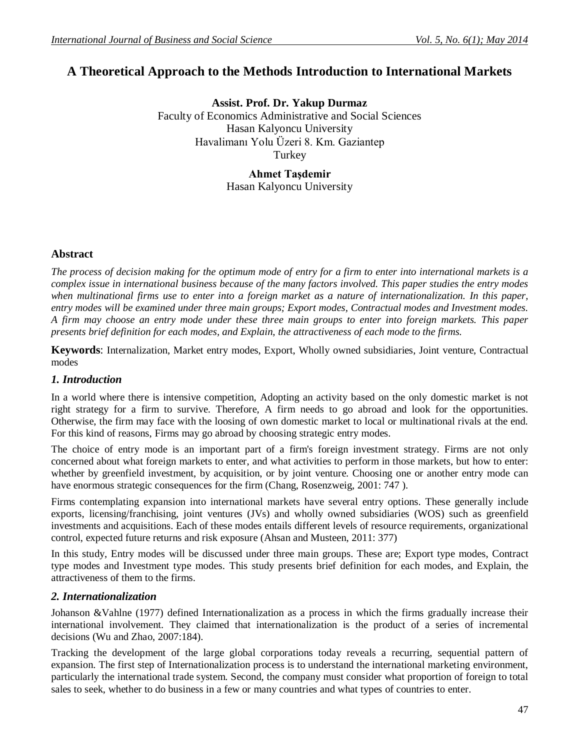# **A Theoretical Approach to the Methods Introduction to International Markets**

**Assist. Prof. Dr. Yakup Durmaz** Faculty of Economics Administrative and Social Sciences Hasan Kalyoncu University Havalimanı Yolu Üzeri 8. Km. Gaziantep Turkey

> **Ahmet Taşdemir** Hasan Kalyoncu University

# **Abstract**

*The process of decision making for the optimum mode of entry for a firm to enter into international markets is a complex issue in international business because of the many factors involved. This paper studies the entry modes*  when multinational firms use to enter into a foreign market as a nature of internationalization. In this paper, *entry modes will be examined under three main groups; Export modes, Contractual modes and Investment modes. A firm may choose an entry mode under these three main groups to enter into foreign markets. This paper presents brief definition for each modes, and Explain, the attractiveness of each mode to the firms.* 

**Keywords**: Internalization, Market entry modes, Export, Wholly owned subsidiaries, Joint venture, Contractual modes

# *1. Introduction*

In a world where there is intensive competition, Adopting an activity based on the only domestic market is not right strategy for a firm to survive. Therefore, A firm needs to go abroad and look for the opportunities. Otherwise, the firm may face with the loosing of own domestic market to local or multinational rivals at the end. For this kind of reasons, Firms may go abroad by choosing strategic entry modes.

The choice of entry mode is an important part of a firm's foreign investment strategy. Firms are not only concerned about what foreign markets to enter, and what activities to perform in those markets, but how to enter: whether by greenfield investment, by acquisition, or by joint venture. Choosing one or another entry mode can have enormous strategic consequences for the firm (Chang, Rosenzweig, 2001: 747).

Firms contemplating expansion into international markets have several entry options. These generally include exports, licensing/franchising, joint ventures (JVs) and wholly owned subsidiaries (WOS) such as greenfield investments and acquisitions. Each of these modes entails different levels of resource requirements, organizational control, expected future returns and risk exposure (Ahsan and Musteen, 2011: 377)

In this study, Entry modes will be discussed under three main groups. These are; Export type modes, Contract type modes and Investment type modes. This study presents brief definition for each modes, and Explain, the attractiveness of them to the firms.

# *2. Internationalization*

Johanson &Vahlne (1977) defined Internationalization as a process in which the firms gradually increase their international involvement. They claimed that internationalization is the product of a series of incremental decisions (Wu and Zhao, 2007:184).

Tracking the development of the large global corporations today reveals a recurring, sequential pattern of expansion. The first step of Internationalization process is to understand the international marketing environment, particularly the international trade system. Second, the company must consider what proportion of foreign to total sales to seek, whether to do business in a few or many countries and what types of countries to enter.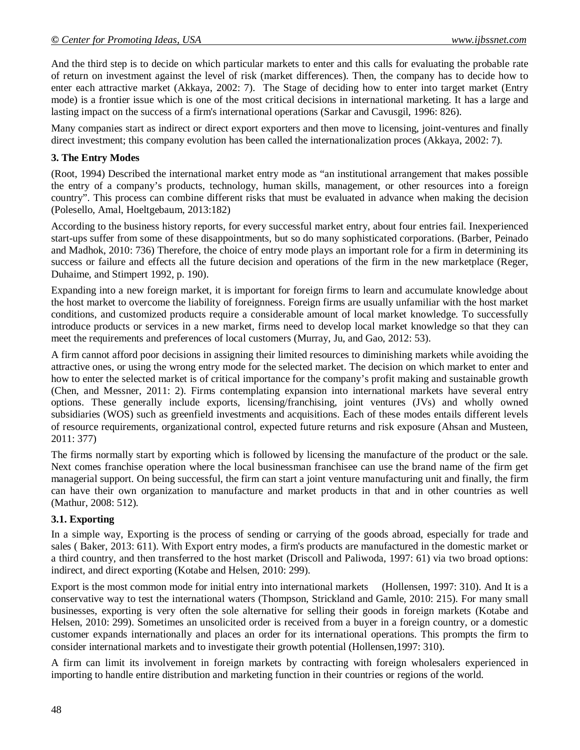And the third step is to decide on which particular markets to enter and this calls for evaluating the probable rate of return on investment against the level of risk (market differences). Then, the company has to decide how to enter each attractive market (Akkaya, 2002: 7). The Stage of deciding how to enter into target market (Entry mode) is a frontier issue which is one of the most critical decisions in international marketing. It has a large and lasting impact on the success of a firm's international operations (Sarkar and Cavusgil, 1996: 826).

Many companies start as indirect or direct export exporters and then move to licensing, joint-ventures and finally direct investment; this company evolution has been called the internationalization proces (Akkaya, 2002: 7).

# **3. The Entry Modes**

(Root, 1994) Described the international market entry mode as "an institutional arrangement that makes possible the entry of a company's products, technology, human skills, management, or other resources into a foreign country". This process can combine different risks that must be evaluated in advance when making the decision (Polesello, Amal, Hoeltgebaum, 2013:182)

According to the business history reports, for every successful market entry, about four entries fail. Inexperienced start-ups suffer from some of these disappointments, but so do many sophisticated corporations. (Barber, Peinado and Madhok, 2010: 736) Therefore, the choice of entry mode plays an important role for a firm in determining its success or failure and effects all the future decision and operations of the firm in the new marketplace (Reger, Duhaime, and Stimpert 1992, p. 190).

Expanding into a new foreign market, it is important for foreign firms to learn and accumulate knowledge about the host market to overcome the liability of foreignness. Foreign firms are usually unfamiliar with the host market conditions, and customized products require a considerable amount of local market knowledge. To successfully introduce products or services in a new market, firms need to develop local market knowledge so that they can meet the requirements and preferences of local customers (Murray, Ju, and Gao, 2012: 53).

A firm cannot afford poor decisions in assigning their limited resources to diminishing markets while avoiding the attractive ones, or using the wrong entry mode for the selected market. The decision on which market to enter and how to enter the selected market is of critical importance for the company's profit making and sustainable growth (Chen, and Messner, 2011: 2). Firms contemplating expansion into international markets have several entry options. These generally include exports, licensing/franchising, joint ventures (JVs) and wholly owned subsidiaries (WOS) such as greenfield investments and acquisitions. Each of these modes entails different levels of resource requirements, organizational control, expected future returns and risk exposure (Ahsan and Musteen, 2011: 377)

The firms normally start by exporting which is followed by licensing the manufacture of the product or the sale. Next comes franchise operation where the local businessman franchisee can use the brand name of the firm get managerial support. On being successful, the firm can start a joint venture manufacturing unit and finally, the firm can have their own organization to manufacture and market products in that and in other countries as well (Mathur, 2008: 512).

# **3.1. Exporting**

In a simple way, Exporting is the process of sending or carrying of the goods abroad, especially for trade and sales ( Baker, 2013: 611). With Export entry modes, a firm's products are manufactured in the domestic market or a third country, and then transferred to the host market (Driscoll and Paliwoda, 1997: 61) via two broad options: indirect, and direct exporting (Kotabe and Helsen, 2010: 299).

Export is the most common mode for initial entry into international markets (Hollensen, 1997: 310). And It is a conservative way to test the international waters (Thompson, Strickland and Gamle, 2010: 215). For many small businesses, exporting is very often the sole alternative for selling their goods in foreign markets (Kotabe and Helsen, 2010: 299). Sometimes an unsolicited order is received from a buyer in a foreign country, or a domestic customer expands internationally and places an order for its international operations. This prompts the firm to consider international markets and to investigate their growth potential (Hollensen,1997: 310).

A firm can limit its involvement in foreign markets by contracting with foreign wholesalers experienced in importing to handle entire distribution and marketing function in their countries or regions of the world.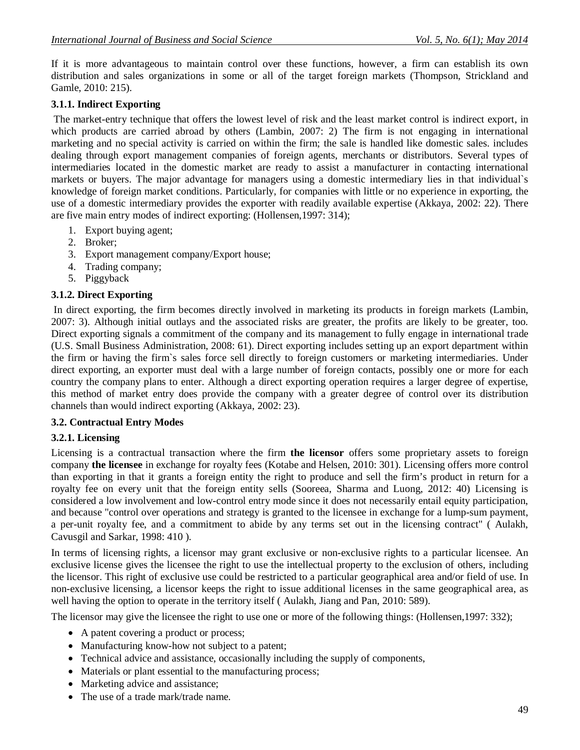If it is more advantageous to maintain control over these functions, however, a firm can establish its own distribution and sales organizations in some or all of the target foreign markets (Thompson, Strickland and Gamle, 2010: 215).

# **3.1.1. Indirect Exporting**

The market-entry technique that offers the lowest level of risk and the least market control is indirect export, in which products are carried abroad by others (Lambin, 2007: 2) The firm is not engaging in international marketing and no special activity is carried on within the firm; the sale is handled like domestic sales. includes dealing through export management companies of foreign agents, merchants or distributors. Several types of intermediaries located in the domestic market are ready to assist a manufacturer in contacting international markets or buyers. The major advantage for managers using a domestic intermediary lies in that individual`s knowledge of foreign market conditions. Particularly, for companies with little or no experience in exporting, the use of a domestic intermediary provides the exporter with readily available expertise (Akkaya, 2002: 22). There are five main entry modes of indirect exporting: (Hollensen,1997: 314);

- 1. Export buying agent;
- 2. Broker;
- 3. Export management company/Export house;
- 4. Trading company;
- 5. Piggyback

# **3.1.2. Direct Exporting**

In direct exporting, the firm becomes directly involved in marketing its products in foreign markets (Lambin, 2007: 3). Although initial outlays and the associated risks are greater, the profits are likely to be greater, too. Direct exporting signals a commitment of the company and its management to fully engage in international trade (U.S. Small Business Administration, 2008: 61). Direct exporting includes setting up an export department within the firm or having the firm`s sales force sell directly to foreign customers or marketing intermediaries. Under direct exporting, an exporter must deal with a large number of foreign contacts, possibly one or more for each country the company plans to enter. Although a direct exporting operation requires a larger degree of expertise, this method of market entry does provide the company with a greater degree of control over its distribution channels than would indirect exporting (Akkaya, 2002: 23).

# **3.2. Contractual Entry Modes**

# **3.2.1. Licensing**

Licensing is a contractual transaction where the firm **the licensor** offers some proprietary assets to foreign company **the licensee** in exchange for royalty fees (Kotabe and Helsen, 2010: 301). Licensing offers more control than exporting in that it grants a foreign entity the right to produce and sell the firm's product in return for a royalty fee on every unit that the foreign entity sells (Sooreea, Sharma and Luong, 2012: 40) Licensing is considered a low involvement and low-control entry mode since it does not necessarily entail equity participation, and because "control over operations and strategy is granted to the licensee in exchange for a lump-sum payment, a per-unit royalty fee, and a commitment to abide by any terms set out in the licensing contract" ( Aulakh, Cavusgil and Sarkar, 1998: 410 ).

In terms of licensing rights, a licensor may grant exclusive or non-exclusive rights to a particular licensee. An exclusive license gives the licensee the right to use the intellectual property to the exclusion of others, including the licensor. This right of exclusive use could be restricted to a particular geographical area and/or field of use. In non-exclusive licensing, a licensor keeps the right to issue additional licenses in the same geographical area, as well having the option to operate in the territory itself (Aulakh, Jiang and Pan, 2010: 589).

The licensor may give the licensee the right to use one or more of the following things: (Hollensen,1997: 332);

- A patent covering a product or process;
- Manufacturing know-how not subject to a patent;
- Technical advice and assistance, occasionally including the supply of components,
- Materials or plant essential to the manufacturing process;
- Marketing advice and assistance;
- The use of a trade mark/trade name.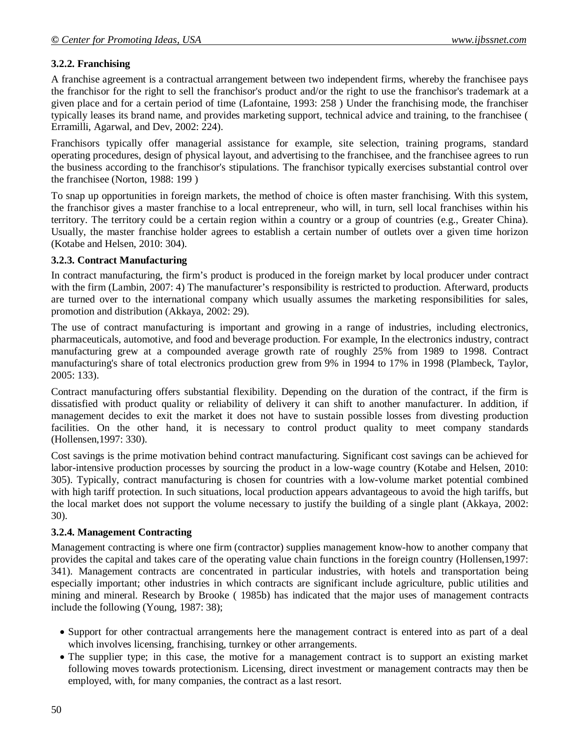# **3.2.2. Franchising**

A franchise agreement is a contractual arrangement between two independent firms, whereby the franchisee pays the franchisor for the right to sell the franchisor's product and/or the right to use the franchisor's trademark at a given place and for a certain period of time (Lafontaine, 1993: 258 ) Under the franchising mode, the franchiser typically leases its brand name, and provides marketing support, technical advice and training, to the franchisee ( Erramilli, Agarwal, and Dev, 2002: 224).

Franchisors typically offer managerial assistance for example, site selection, training programs, standard operating procedures, design of physical layout, and advertising to the franchisee, and the franchisee agrees to run the business according to the franchisor's stipulations. The franchisor typically exercises substantial control over the franchisee (Norton, 1988: 199 )

To snap up opportunities in foreign markets, the method of choice is often master franchising. With this system, the franchisor gives a master franchise to a local entrepreneur, who will, in turn, sell local franchises within his territory. The territory could be a certain region within a country or a group of countries (e.g., Greater China). Usually, the master franchise holder agrees to establish a certain number of outlets over a given time horizon (Kotabe and Helsen, 2010: 304).

# **3.2.3. Contract Manufacturing**

In contract manufacturing, the firm's product is produced in the foreign market by local producer under contract with the firm (Lambin, 2007: 4) The manufacturer's responsibility is restricted to production. Afterward, products are turned over to the international company which usually assumes the marketing responsibilities for sales, promotion and distribution (Akkaya, 2002: 29).

The use of contract manufacturing is important and growing in a range of industries, including electronics, pharmaceuticals, automotive, and food and beverage production. For example, In the electronics industry, contract manufacturing grew at a compounded average growth rate of roughly 25% from 1989 to 1998. Contract manufacturing's share of total electronics production grew from 9% in 1994 to 17% in 1998 (Plambeck, Taylor, 2005: 133).

Contract manufacturing offers substantial flexibility. Depending on the duration of the contract, if the firm is dissatisfied with product quality or reliability of delivery it can shift to another manufacturer. In addition, if management decides to exit the market it does not have to sustain possible losses from divesting production facilities. On the other hand, it is necessary to control product quality to meet company standards (Hollensen,1997: 330).

Cost savings is the prime motivation behind contract manufacturing. Significant cost savings can be achieved for labor-intensive production processes by sourcing the product in a low-wage country (Kotabe and Helsen, 2010: 305). Typically, contract manufacturing is chosen for countries with a low-volume market potential combined with high tariff protection. In such situations, local production appears advantageous to avoid the high tariffs, but the local market does not support the volume necessary to justify the building of a single plant (Akkaya, 2002: 30).

# **3.2.4. Management Contracting**

Management contracting is where one firm (contractor) supplies management know-how to another company that provides the capital and takes care of the operating value chain functions in the foreign country (Hollensen,1997: 341). Management contracts are concentrated in particular industries, with hotels and transportation being especially important; other industries in which contracts are significant include agriculture, public utilities and mining and mineral. Research by Brooke ( 1985b) has indicated that the major uses of management contracts include the following (Young, 1987: 38);

- Support for other contractual arrangements here the management contract is entered into as part of a deal which involves licensing, franchising, turnkey or other arrangements.
- The supplier type; in this case, the motive for a management contract is to support an existing market following moves towards protectionism. Licensing, direct investment or management contracts may then be employed, with, for many companies, the contract as a last resort.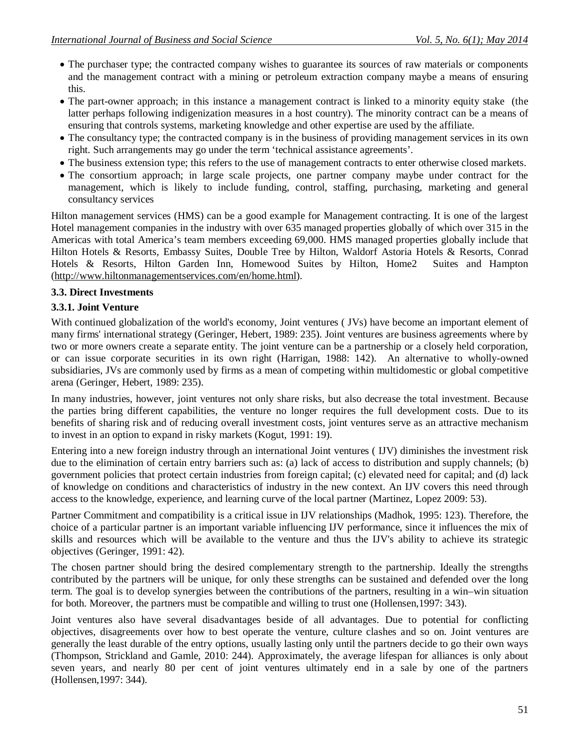- The purchaser type; the contracted company wishes to guarantee its sources of raw materials or components and the management contract with a mining or petroleum extraction company maybe a means of ensuring this.
- The part-owner approach; in this instance a management contract is linked to a minority equity stake (the latter perhaps following indigenization measures in a host country). The minority contract can be a means of ensuring that controls systems, marketing knowledge and other expertise are used by the affiliate.
- The consultancy type; the contracted company is in the business of providing management services in its own right. Such arrangements may go under the term 'technical assistance agreements'.
- The business extension type; this refers to the use of management contracts to enter otherwise closed markets.
- The consortium approach; in large scale projects, one partner company maybe under contract for the management, which is likely to include funding, control, staffing, purchasing, marketing and general consultancy services

Hilton management services (HMS) can be a good example for Management contracting. It is one of the largest Hotel management companies in the industry with over 635 managed properties globally of which over 315 in the Americas with total America's team members exceeding 69,000. HMS managed properties globally include that Hilton Hotels & Resorts, Embassy Suites, Double Tree by Hilton, Waldorf Astoria Hotels & Resorts, Conrad Hotels & Resorts, Hilton Garden Inn, Homewood Suites by Hilton, Home2 Suites and Hampton (http://www.hiltonmanagementservices.com/en/home.html).

### **3.3. Direct Investments**

### **3.3.1. Joint Venture**

With continued globalization of the world's economy, Joint ventures (JVs) have become an important element of many firms' international strategy (Geringer, Hebert, 1989: 235). Joint ventures are business agreements where by two or more owners create a separate entity. The joint venture can be a partnership or a closely held corporation, or can issue corporate securities in its own right (Harrigan, 1988: 142). An alternative to wholly-owned subsidiaries, JVs are commonly used by firms as a mean of competing within multidomestic or global competitive arena (Geringer, Hebert, 1989: 235).

In many industries, however, joint ventures not only share risks, but also decrease the total investment. Because the parties bring different capabilities, the venture no longer requires the full development costs. Due to its benefits of sharing risk and of reducing overall investment costs, joint ventures serve as an attractive mechanism to invest in an option to expand in risky markets (Kogut, 1991: 19).

Entering into a new foreign industry through an international Joint ventures ( IJV) diminishes the investment risk due to the elimination of certain entry barriers such as: (a) lack of access to distribution and supply channels; (b) government policies that protect certain industries from foreign capital; (c) elevated need for capital; and (d) lack of knowledge on conditions and characteristics of industry in the new context. An IJV covers this need through access to the knowledge, experience, and learning curve of the local partner (Martinez, Lopez 2009: 53).

Partner Commitment and compatibility is a critical issue in IJV relationships (Madhok, 1995: 123). Therefore, the choice of a particular partner is an important variable influencing IJV performance, since it influences the mix of skills and resources which will be available to the venture and thus the IJV's ability to achieve its strategic objectives (Geringer, 1991: 42).

The chosen partner should bring the desired complementary strength to the partnership. Ideally the strengths contributed by the partners will be unique, for only these strengths can be sustained and defended over the long term. The goal is to develop synergies between the contributions of the partners, resulting in a win–win situation for both. Moreover, the partners must be compatible and willing to trust one (Hollensen,1997: 343).

Joint ventures also have several disadvantages beside of all advantages. Due to potential for conflicting objectives, disagreements over how to best operate the venture, culture clashes and so on. Joint ventures are generally the least durable of the entry options, usually lasting only until the partners decide to go their own ways (Thompson, Strickland and Gamle, 2010: 244). Approximately, the average lifespan for alliances is only about seven years, and nearly 80 per cent of joint ventures ultimately end in a sale by one of the partners (Hollensen,1997: 344).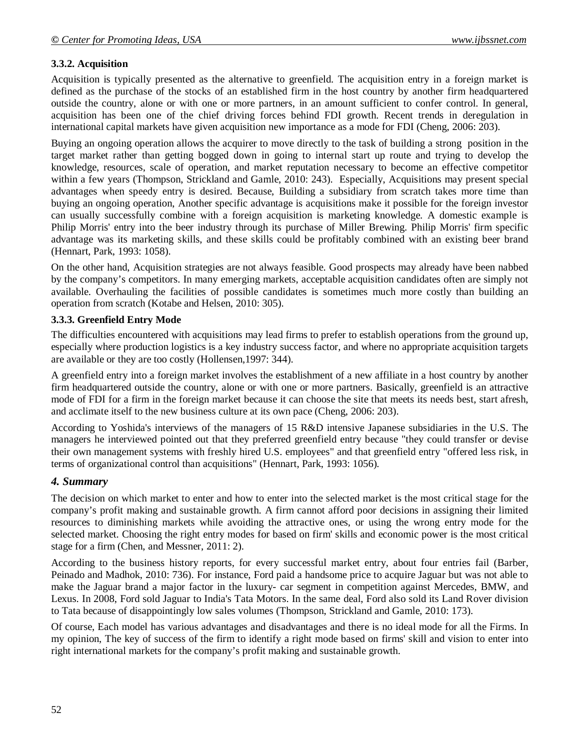# **3.3.2. Acquisition**

Acquisition is typically presented as the alternative to greenfield. The acquisition entry in a foreign market is defined as the purchase of the stocks of an established firm in the host country by another firm headquartered outside the country, alone or with one or more partners, in an amount sufficient to confer control. In general, acquisition has been one of the chief driving forces behind FDI growth. Recent trends in deregulation in international capital markets have given acquisition new importance as a mode for FDI (Cheng, 2006: 203).

Buying an ongoing operation allows the acquirer to move directly to the task of building a strong position in the target market rather than getting bogged down in going to internal start up route and trying to develop the knowledge, resources, scale of operation, and market reputation necessary to become an effective competitor within a few years (Thompson, Strickland and Gamle, 2010: 243). Especially, Acquisitions may present special advantages when speedy entry is desired. Because, Building a subsidiary from scratch takes more time than buying an ongoing operation, Another specific advantage is acquisitions make it possible for the foreign investor can usually successfully combine with a foreign acquisition is marketing knowledge. A domestic example is Philip Morris' entry into the beer industry through its purchase of Miller Brewing. Philip Morris' firm specific advantage was its marketing skills, and these skills could be profitably combined with an existing beer brand (Hennart, Park, 1993: 1058).

On the other hand, Acquisition strategies are not always feasible. Good prospects may already have been nabbed by the company's competitors. In many emerging markets, acceptable acquisition candidates often are simply not available. Overhauling the facilities of possible candidates is sometimes much more costly than building an operation from scratch (Kotabe and Helsen, 2010: 305).

#### **3.3.3. Greenfield Entry Mode**

The difficulties encountered with acquisitions may lead firms to prefer to establish operations from the ground up, especially where production logistics is a key industry success factor, and where no appropriate acquisition targets are available or they are too costly (Hollensen,1997: 344).

A greenfield entry into a foreign market involves the establishment of a new affiliate in a host country by another firm headquartered outside the country, alone or with one or more partners. Basically, greenfield is an attractive mode of FDI for a firm in the foreign market because it can choose the site that meets its needs best, start afresh, and acclimate itself to the new business culture at its own pace (Cheng, 2006: 203).

According to Yoshida's interviews of the managers of 15 R&D intensive Japanese subsidiaries in the U.S. The managers he interviewed pointed out that they preferred greenfield entry because "they could transfer or devise their own management systems with freshly hired U.S. employees" and that greenfield entry "offered less risk, in terms of organizational control than acquisitions" (Hennart, Park, 1993: 1056).

#### *4. Summary*

The decision on which market to enter and how to enter into the selected market is the most critical stage for the company's profit making and sustainable growth. A firm cannot afford poor decisions in assigning their limited resources to diminishing markets while avoiding the attractive ones, or using the wrong entry mode for the selected market. Choosing the right entry modes for based on firm' skills and economic power is the most critical stage for a firm (Chen, and Messner, 2011: 2).

According to the business history reports, for every successful market entry, about four entries fail (Barber, Peinado and Madhok, 2010: 736). For instance, Ford paid a handsome price to acquire Jaguar but was not able to make the Jaguar brand a major factor in the luxury- car segment in competition against Mercedes, BMW, and Lexus. In 2008, Ford sold Jaguar to India's Tata Motors. In the same deal, Ford also sold its Land Rover division to Tata because of disappointingly low sales volumes (Thompson, Strickland and Gamle, 2010: 173).

Of course, Each model has various advantages and disadvantages and there is no ideal mode for all the Firms. In my opinion, The key of success of the firm to identify a right mode based on firms' skill and vision to enter into right international markets for the company's profit making and sustainable growth.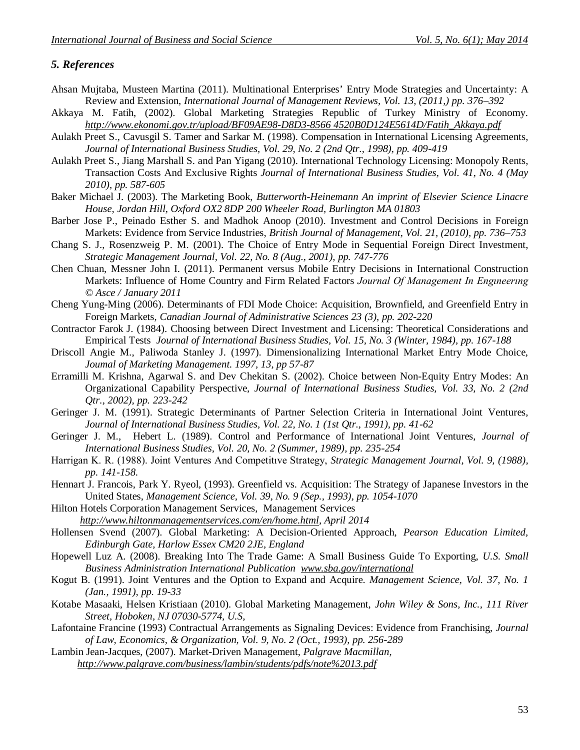### *5. References*

- Ahsan Mujtaba, Musteen Martina (2011). Multinational Enterprises' Entry Mode Strategies and Uncertainty: A Review and Extension, *International Journal of Management Reviews, Vol. 13, (2011,) pp. 376–392*
- Akkaya M. Fatih, (2002). Global Marketing Strategies Republic of Turkey Ministry of Economy. *http://www.ekonomi.gov.tr/upload/BF09AE98-D8D3-8566 4520B0D124E5614D/Fatih\_Akkaya.pdf*
- Aulakh Preet S., Cavusgil S. Tamer and Sarkar M. (1998). Compensation in International Licensing Agreements, *Journal of International Business Studies, Vol. 29, No. 2 (2nd Qtr., 1998), pp. 409-419*
- Aulakh Preet S., Jiang Marshall S. and Pan Yigang (2010). International Technology Licensing: Monopoly Rents, Transaction Costs And Exclusive Rights *Journal of International Business Studies, Vol. 41, No. 4 (May 2010), pp. 587-605*
- Baker Michael J. (2003). The Marketing Book, *Butterworth-Heinemann An imprint of Elsevier Science Linacre House, Jordan Hill, Oxford OX2 8DP 200 Wheeler Road, Burlington MA 01803*
- Barber Jose P., Peinado Esther S. and Madhok Anoop (2010). Investment and Control Decisions in Foreign Markets: Evidence from Service Industries, *British Journal of Management, Vol. 21, (2010), pp. 736–753*
- Chang S. J., Rosenzweig P. M. (2001). The Choice of Entry Mode in Sequential Foreign Direct Investment, *Strategic Management Journal, Vol. 22, No. 8 (Aug., 2001), pp. 747-776*
- Chen Chuan, Messner John I. (2011). Permanent versus Mobile Entry Decisions in International Construction Markets: Influence of Home Country and Firm Related Factors *Journal Of Management In Engıneerıng © Asce / January 2011*
- Cheng Yung-Ming (2006). Determinants of FDI Mode Choice: Acquisition, Brownfield, and Greenfield Entry in Foreign Markets, *Canadian Journal of Administrative Sciences 23 (3), pp. 202-220*
- Contractor Farok J. (1984). Choosing between Direct Investment and Licensing: Theoretical Considerations and Empirical Tests *Journal of International Business Studies, Vol. 15, No. 3 (Winter, 1984), pp. 167-188*
- Driscoll Angie M., Paliwoda Stanley J. (1997). Dimensionalizing International Market Entry Mode Choice, *Joumal of Marketing Management. 1997, 13, pp 57-87*
- Erramilli M. Krishna, Agarwal S. and Dev Chekitan S. (2002). Choice between Non-Equity Entry Modes: An Organizational Capability Perspective, *Journal of International Business Studies, Vol. 33, No. 2 (2nd Qtr., 2002), pp. 223-242*
- Geringer J. M. (1991). Strategic Determinants of Partner Selection Criteria in International Joint Ventures, *Journal of International Business Studies, Vol. 22, No. 1 (1st Qtr., 1991), pp. 41-62*
- Geringer J. M., Hebert L. (1989). Control and Performance of International Joint Ventures, *Journal of International Business Studies, Vol. 20, No. 2 (Summer, 1989), pp. 235-254*
- Harrigan K. R. (1988). Joint Ventures And Competitıve Strategy, *Strategic Management Journal, Vol. 9, (1988), pp. 141-158.*
- Hennart J. Francois, Park Y. Ryeol, (1993). Greenfield vs. Acquisition: The Strategy of Japanese Investors in the United States, *Management Science, Vol. 39, No. 9 (Sep., 1993), pp. 1054-1070*
- Hilton Hotels Corporation Management Services, Management Services *http://www.hiltonmanagementservices.com/en/home.html, April 2014*
- Hollensen Svend (2007). Global Marketing: A Decision-Oriented Approach, *Pearson Education Limited, Edinburgh Gate, Harlow Essex CM20 2JE, England*
- Hopewell Luz A. (2008). Breaking Into The Trade Game: A Small Business Guide To Exporting, *U.S. Small Business Administration International Publication www.sba.gov/international*
- Kogut B. (1991). Joint Ventures and the Option to Expand and Acquire. *Management Science, Vol. 37, No. 1 (Jan., 1991), pp. 19-33*
- Kotabe Masaaki, Helsen Kristiaan (2010). Global Marketing Management, *John Wiley & Sons, Inc., 111 River Street, Hoboken, NJ 07030-5774, U.S,*
- Lafontaine Francine (1993) Contractual Arrangements as Signaling Devices: Evidence from Franchising, *Journal of Law, Economics, & Organization, Vol. 9, No. 2 (Oct., 1993), pp. 256-289*
- Lambin Jean-Jacques, (2007). Market-Driven Management, *Palgrave Macmillan, http://www.palgrave.com/business/lambin/students/pdfs/note%2013.pdf*